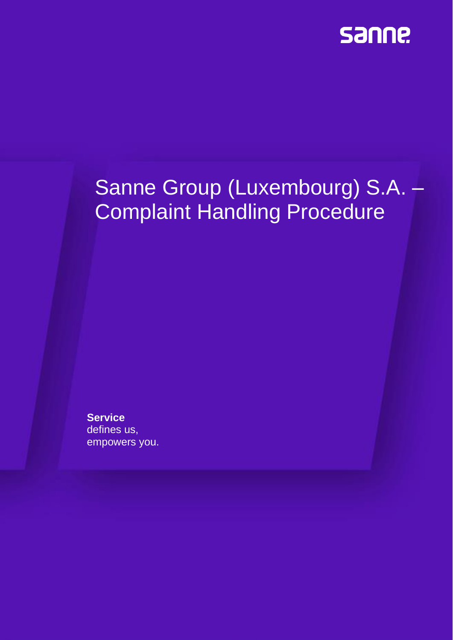

# Sanne Group (Luxembourg) S.A. – Complaint Handling Procedure

**Service** defines us, empowers you.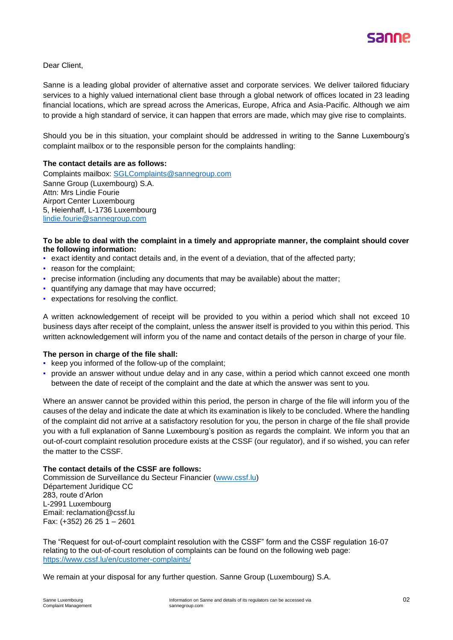

Dear Client,

Sanne is a leading global provider of alternative asset and corporate services. We deliver tailored fiduciary services to a highly valued international client base through a global network of offices located in 23 leading financial locations, which are spread across the Americas, Europe, Africa and Asia-Pacific. Although we aim to provide a high standard of service, it can happen that errors are made, which may give rise to complaints.

Should you be in this situation, your complaint should be addressed in writing to the Sanne Luxembourg's complaint mailbox or to the responsible person for the complaints handling:

#### **The contact details are as follows:**

Complaints mailbox: [SGLComplaints@sannegroup.com](mailto:SGLComplaints@sannegroup.com) Sanne Group (Luxembourg) S.A. Attn: Mrs Lindie Fourie Airport Center Luxembourg 5, Heienhaff, L-1736 Luxembourg [lindie.fourie@sannegroup.com](mailto:lindie.fourie@sannegroup.com)

#### **To be able to deal with the complaint in a timely and appropriate manner, the complaint should cover the following information:**

- exact identity and contact details and, in the event of a deviation, that of the affected party;
- reason for the complaint;
- precise information (including any documents that may be available) about the matter;
- quantifying any damage that may have occurred;
- expectations for resolving the conflict.

A written acknowledgement of receipt will be provided to you within a period which shall not exceed 10 business days after receipt of the complaint, unless the answer itself is provided to you within this period. This written acknowledgement will inform you of the name and contact details of the person in charge of your file.

#### **The person in charge of the file shall:**

- keep you informed of the follow-up of the complaint;
- provide an answer without undue delay and in any case, within a period which cannot exceed one month between the date of receipt of the complaint and the date at which the answer was sent to you.

Where an answer cannot be provided within this period, the person in charge of the file will inform you of the causes of the delay and indicate the date at which its examination is likely to be concluded. Where the handling of the complaint did not arrive at a satisfactory resolution for you, the person in charge of the file shall provide you with a full explanation of Sanne Luxembourg's position as regards the complaint. We inform you that an out-of-court complaint resolution procedure exists at the CSSF (our regulator), and if so wished, you can refer the matter to the CSSF.

#### **The contact details of the CSSF are follows:**

Commission de Surveillance du Secteur Financier [\(www.cssf.lu\)](http://www.cssf.lu/) Département Juridique CC 283, route d'Arlon L-2991 Luxembourg Email: [reclamation@cssf.lu](mailto:reclamation@cssf.lu) Fax: (+352) 26 25 1 – 2601

The "Request for out-of-court complaint resolution with the CSSF" form and the CSSF regulation 16-07 relating to the out-of-court resolution of complaints can be found on the following web page: <https://www.cssf.lu/en/customer-complaints/>

We remain at your disposal for any further question. Sanne Group (Luxembourg) S.A.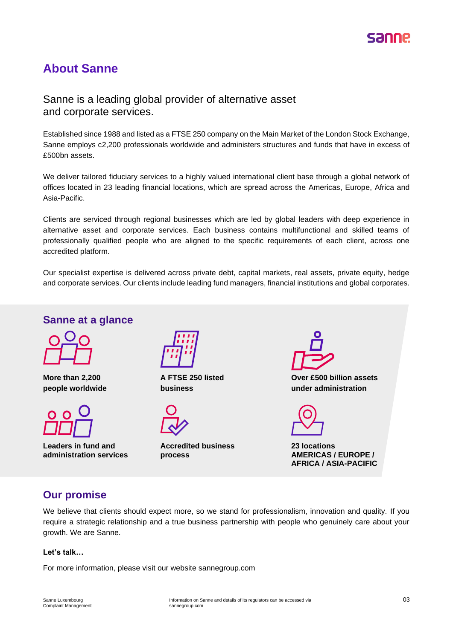## **About Sanne**

## Sanne is a leading global provider of alternative asset and corporate services.

Established since 1988 and listed as a FTSE 250 company on the Main Market of the London Stock Exchange, Sanne employs c2,200 professionals worldwide and administers structures and funds that have in excess of £500bn assets.

We deliver tailored fiduciary services to a highly valued international client base through a global network of offices located in 23 leading financial locations, which are spread across the Americas, Europe, Africa and Asia-Pacific.

Clients are serviced through regional businesses which are led by global leaders with deep experience in alternative asset and corporate services. Each business contains multifunctional and skilled teams of professionally qualified people who are aligned to the specific requirements of each client, across one accredited platform.

Our specialist expertise is delivered across private debt, capital markets, real assets, private equity, hedge and corporate services. Our clients include leading fund managers, financial institutions and global corporates.

## **Sanne at a glance**



**More than 2,200 people worldwide**



**Leaders in fund and administration services**



**A FTSE 250 listed business**

**Accredited business process**



**Over £500 billion assets under administration**

**23 locations AMERICAS / EUROPE / AFRICA / ASIA-PACIFIC**

## **Our promise**

We believe that clients should expect more, so we stand for professionalism, innovation and quality. If you require a strategic relationship and a true business partnership with people who genuinely care about your growth. We are Sanne.

#### **Let's talk…**

For more information, please visit our website sannegroup.com

Complaint Management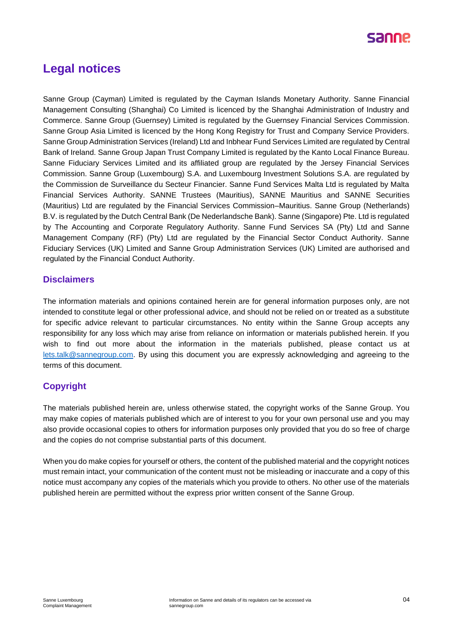

## **Legal notices**

Sanne Group (Cayman) Limited is regulated by the Cayman Islands Monetary Authority. Sanne Financial Management Consulting (Shanghai) Co Limited is licenced by the Shanghai Administration of Industry and Commerce. Sanne Group (Guernsey) Limited is regulated by the Guernsey Financial Services Commission. Sanne Group Asia Limited is licenced by the Hong Kong Registry for Trust and Company Service Providers. Sanne Group Administration Services (Ireland) Ltd and Inbhear Fund Services Limited are regulated by Central Bank of Ireland. Sanne Group Japan Trust Company Limited is regulated by the Kanto Local Finance Bureau. Sanne Fiduciary Services Limited and its affiliated group are regulated by the Jersey Financial Services Commission. Sanne Group (Luxembourg) S.A. and Luxembourg Investment Solutions S.A. are regulated by the Commission de Surveillance du Secteur Financier. Sanne Fund Services Malta Ltd is regulated by Malta Financial Services Authority. SANNE Trustees (Mauritius), SANNE Mauritius and SANNE Securities (Mauritius) Ltd are regulated by the Financial Services Commission–Mauritius. Sanne Group (Netherlands) B.V. is regulated by the Dutch Central Bank (De Nederlandsche Bank). Sanne (Singapore) Pte. Ltd is regulated by The Accounting and Corporate Regulatory Authority. Sanne Fund Services SA (Pty) Ltd and Sanne Management Company (RF) (Pty) Ltd are regulated by the Financial Sector Conduct Authority. Sanne Fiduciary Services (UK) Limited and Sanne Group Administration Services (UK) Limited are authorised and regulated by the Financial Conduct Authority.

#### **Disclaimers**

The information materials and opinions contained herein are for general information purposes only, are not intended to constitute legal or other professional advice, and should not be relied on or treated as a substitute for specific advice relevant to particular circumstances. No entity within the Sanne Group accepts any responsibility for any loss which may arise from reliance on information or materials published herein. If you wish to find out more about the information in the materials published, please contact us at [lets.talk@sannegroup.com.](mailto:lets.talk@sannegroup.com) By using this document you are expressly acknowledging and agreeing to the terms of this document.

### **Copyright**

The materials published herein are, unless otherwise stated, the copyright works of the Sanne Group. You may make copies of materials published which are of interest to you for your own personal use and you may also provide occasional copies to others for information purposes only provided that you do so free of charge and the copies do not comprise substantial parts of this document.

When you do make copies for yourself or others, the content of the published material and the copyright notices must remain intact, your communication of the content must not be misleading or inaccurate and a copy of this notice must accompany any copies of the materials which you provide to others. No other use of the materials published herein are permitted without the express prior written consent of the Sanne Group.